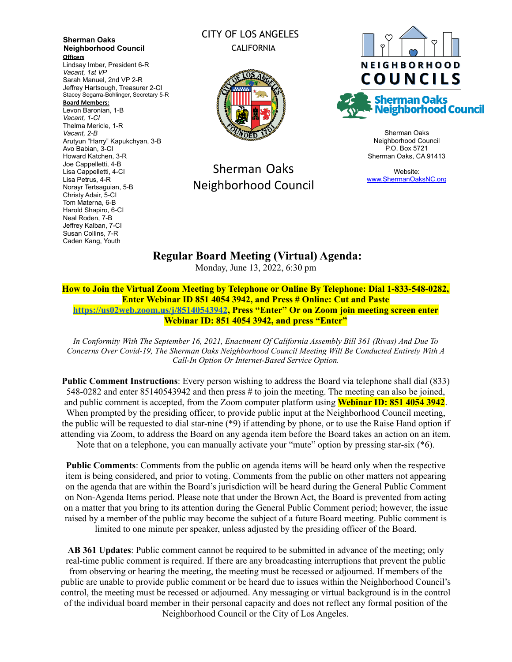**Sherman Oaks Neighborhood Council Officers** Lindsay Imber, President 6-R *Vacant, 1st VP* Sarah Manuel, 2nd VP 2-R Jeffrey Hartsough, Treasurer 2-CI Stacey Segarra-Bohlinger, Secretary 5-R **Board Members:** Levon Baronian, 1-B *Vacant, 1-CI* Thelma Mericle, 1-R *Vacant, 2-B* Arutyun "Harry" Kapukchyan, 3-B Avo Babian, 3-CI Howard Katchen, 3-R Joe Cappelletti, 4-B Lisa Cappelletti, 4-CI Lisa Petrus, 4-R Norayr Tertsaguian, 5-B Christy Adair, 5-CI Tom Materna, 6-B Harold Shapiro, 6-CI Neal Roden, 7-B Jeffrey Kalban, 7-CI Susan Collins, 7-R Caden Kang, Youth

#### CITY OF LOS ANGELES CALIFORNIA



# Sherman Oaks Neighborhood Council



Sherman Oaks Neighborhood Council P.O. Box 5721 Sherman Oaks, CA 91413

Website: [www.ShermanOaksNC.org](http://www.shermanoaksnc.org)

## **Regular Board Meeting (Virtual) Agenda:**

Monday, June 13, 2022, 6:30 pm

**How to Join the Virtual Zoom Meeting by Telephone or Online By Telephone: Dial 1-833-548-0282, Enter Webinar ID 851 4054 3942, and Press # Online: Cut and Paste <https://us02web.zoom.us/j/85140543942>, Press "Enter" Or on Zoom join meeting screen enter Webinar ID: 851 4054 3942, and press "Enter"**

*In Conformity With The September 16, 2021, Enactment Of California Assembly Bill 361 (Rivas) And Due To Concerns Over Covid-19, The Sherman Oaks Neighborhood Council Meeting Will Be Conducted Entirely With A Call-In Option Or Internet-Based Service Option.*

**Public Comment Instructions**: Every person wishing to address the Board via telephone shall dial (833) 548-0282 and enter 85140543942 and then press # to join the meeting. The meeting can also be joined, and public comment is accepted, from the Zoom computer platform using **Webinar ID: 851 4054 3942**. When prompted by the presiding officer, to provide public input at the Neighborhood Council meeting, the public will be requested to dial star-nine (\*9) if attending by phone, or to use the Raise Hand option if attending via Zoom, to address the Board on any agenda item before the Board takes an action on an item.

Note that on a telephone, you can manually activate your "mute" option by pressing star-six (\*6).

**Public Comments**: Comments from the public on agenda items will be heard only when the respective item is being considered, and prior to voting. Comments from the public on other matters not appearing on the agenda that are within the Board's jurisdiction will be heard during the General Public Comment on Non-Agenda Items period. Please note that under the Brown Act, the Board is prevented from acting on a matter that you bring to its attention during the General Public Comment period; however, the issue raised by a member of the public may become the subject of a future Board meeting. Public comment is limited to one minute per speaker, unless adjusted by the presiding officer of the Board.

**AB 361 Updates**: Public comment cannot be required to be submitted in advance of the meeting; only real-time public comment is required. If there are any broadcasting interruptions that prevent the public from observing or hearing the meeting, the meeting must be recessed or adjourned. If members of the public are unable to provide public comment or be heard due to issues within the Neighborhood Council's control, the meeting must be recessed or adjourned. Any messaging or virtual background is in the control of the individual board member in their personal capacity and does not reflect any formal position of the Neighborhood Council or the City of Los Angeles.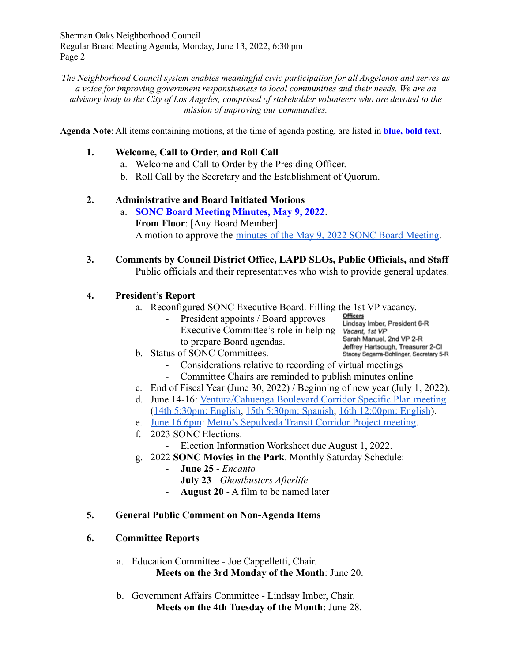Sherman Oaks Neighborhood Council Regular Board Meeting Agenda, Monday, June 13, 2022, 6:30 pm Page 2

*The Neighborhood Council system enables meaningful civic participation for all Angelenos and serves as a voice for improving government responsiveness to local communities and their needs. We are an advisory body to the City of Los Angeles, comprised of stakeholder volunteers who are devoted to the mission of improving our communities.*

**Agenda Note**: All items containing motions, at the time of agenda posting, are listed in **blue, bold text**.

#### **1. Welcome, Call to Order, and Roll Call**

- a. Welcome and Call to Order by the Presiding Officer.
- b. Roll Call by the Secretary and the Establishment of Quorum.

#### **2. Administrative and Board Initiated Motions**

- a. **SONC Board Meeting Minutes, May 9, 2022**. **From Floor**: [Any Board Member] A motion to approve the [minutes of the May 9, 2022](https://www.shermanoaksnc.org/assets/documents/7/meeting62a151d047948.pdf) SONC Board Meeting.
- **3. Comments by Council District Office, LAPD SLOs, Public Officials, and Staff** Public officials and their representatives who wish to provide general updates.

#### **4. President's Report**

- a. Reconfigured SONC Executive Board. Filling the 1st VP vacancy.
	- President appoints / Board approves
	- Executive Committee's role in helping to prepare Board agendas.

Lindsay Imber, President 6-R Vacant, 1st VP<br>Sarah Manuel, 2nd VP 2-R Jeffrey Hartsough, Treasurer 2-CI Stacey Segarra-Bohlinger, Secretary 5-R

- b. Status of SONC Committees.
	- Considerations relative to recording of virtual meetings
	- Committee Chairs are reminded to publish minutes online
- c. End of Fiscal Year (June 30, 2022) / Beginning of new year (July 1, 2022).
- d. June 14-16: [Ventura/Cahuenga Boulevard Corridor Specific](https://files.constantcontact.com/17b75751701/ae925952-8867-4090-8032-e50de52a8079.pdf) Plan meeting ([14th 5:30pm: English](https://planning-lacity-org.zoom.us/j/86729649253), [15th 5:30pm: Spanish](https://planning-lacity-org.zoom.us/j/81976786853), 16th [12:00pm: English](https://planning-lacity-org.zoom.us/j/84020043869)).
- e. [June 16 6pm](https://r20.rs6.net/tn.jsp?f=001mjwXU1btRH13X8mFz5s1YH6EEI916cZyPxcDoPOR2V5mfNYkKcecEdFa8yuZyibAqlMfJhtPYBc2hcr1qAgu3z9wsUOuyeaa7Iah08UDlf_flIBe9yaJdpx9JdLzK9-ZqGnc5zjN__DCjxRH8V6JBrEh9fRn0vGt&c=faKt6YsLTqVhgMXCuARA5iKtl2MuBOeg1PRCwiK6caTz14FKtjbDXQ==&ch=nqgKuAk75RVSq_CuxM8bpKNbBz7j6jR3bP9xHE7EK5zSzisNDhfSlg==): [Metro's Sepulveda Transit Corridor Project](https://www.metro.net/projects/sepulvedacorridor/) meeting.
- f. 2023 SONC Elections.
	- Election Information Worksheet due August 1, 2022.
- g. 2022 **SONC Movies in the Park**. Monthly Saturday Schedule:
	- **June 25** *Encanto*
	- **July 23** *Ghostbusters Afterlife*
	- **August 20** A film to be named later

#### **5. General Public Comment on Non-Agenda Items**

#### **6. Committee Reports**

- a. Education Committee Joe Cappelletti, Chair. **Meets on the 3rd Monday of the Month**: June 20.
- b. Government Affairs Committee Lindsay Imber, Chair. **Meets on the 4th Tuesday of the Month**: June 28.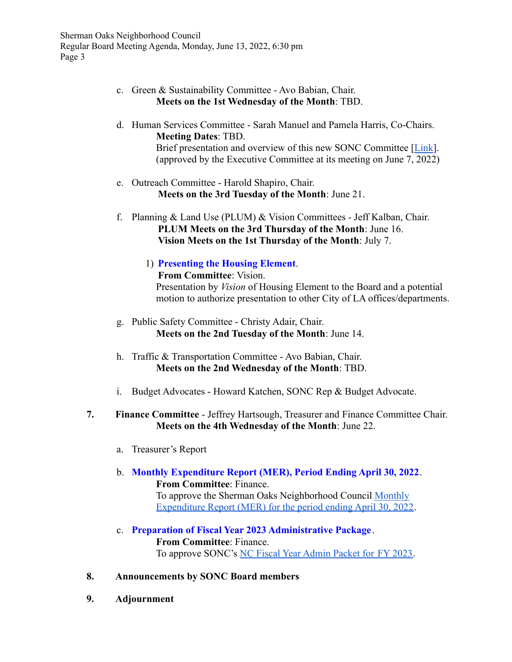Sherman Oaks Neighborhood Council Regular Board Meeting Agenda, Monday, June 13, 2022, 6:30 pm Page 3

- c. Green & Sustainability Committee Avo Babian, Chair. **Meets on the 1st Wednesday of the Month**: TBD.
- d. Human Services Committee Sarah Manuel and Pamela Harris, Co-Chairs. **Meeting Dates**: TBD. Brief presentation and overview of this new SONC Committee [[Link](https://www.shermanoaksnc.org/assets/documents/7/meeting62a151f95c736.pdf)]. (approved by the Executive Committee at its meeting on June 7, 2022)
- e. Outreach Committee Harold Shapiro, Chair. **Meets on the 3rd Tuesday of the Month**: June 21.
- f. Planning & Land Use (PLUM) & Vision Committees Jeff Kalban, Chair. **PLUM Meets on the 3rd Thursday of the Month**: June 16. **Vision Meets on the 1st Thursday of the Month**: July 7.
	- 1) **Presenting the Housing Element**. **From Committee**: Vision. Presentation by *Vision* of Housing Element to the Board and a potential motion to authorize presentation to other City of LA offices/departments.
- g. Public Safety Committee Christy Adair, Chair. **Meets on the 2nd Tuesday of the Month**: June 14.
- h. Traffic & Transportation Committee Avo Babian, Chair. **Meets on the 2nd Wednesday of the Month**: TBD.
- i. Budget Advocates Howard Katchen, SONC Rep & Budget Advocate.
- **7. Finance Committee** Jeffrey Hartsough, Treasurer and Finance Committee Chair. **Meets on the 4th Wednesday of the Month**: June 22.
	- a. Treasurer's Report
	- b. **Monthly Expenditure Report (MER), Period Ending April 30, 2022**. **From Committee**: Finance. To approve the Sherman Oaks Neighborhood Council [Monthly](https://www.shermanoaksnc.org/assets/documents/7/meeting62a152afc4551.pdf)

[Expenditure Report \(MER\) for the period ending April 30, 2022](https://www.shermanoaksnc.org/assets/documents/7/meeting62a152afc4551.pdf).

## c. **Preparation of Fiscal Year 2023 Administrative Package** . **From Committee**: Finance.

To approve SONC's [NC Fiscal Year Admin Packet for](https://www.shermanoaksnc.org/assets/documents/7/meeting62a152d9378ba.pdf) FY 2023.

- **8. Announcements by SONC Board members**
- **9. Adjournment**